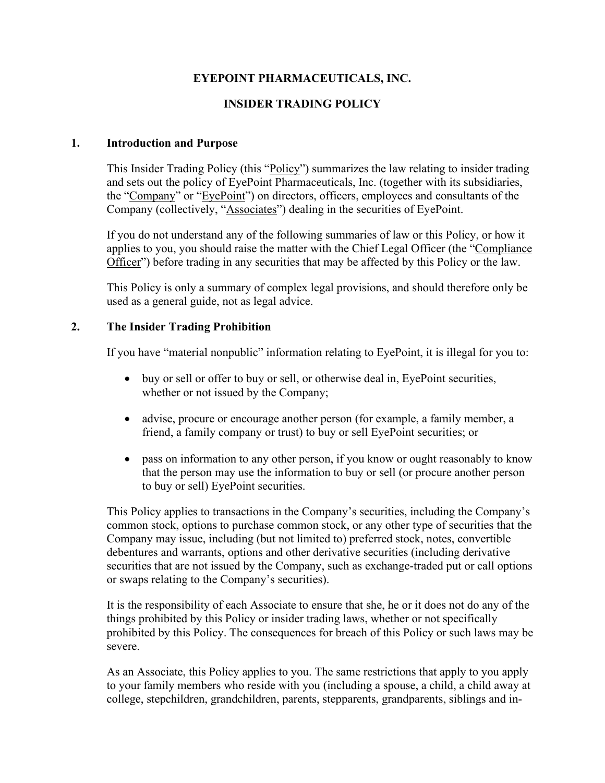# **EYEPOINT PHARMACEUTICALS, INC.**

# **INSIDER TRADING POLICY**

### **1. Introduction and Purpose**

This Insider Trading Policy (this "Policy") summarizes the law relating to insider trading and sets out the policy of EyePoint Pharmaceuticals, Inc. (together with its subsidiaries, the "Company" or "EyePoint") on directors, officers, employees and consultants of the Company (collectively, "Associates") dealing in the securities of EyePoint.

If you do not understand any of the following summaries of law or this Policy, or how it applies to you, you should raise the matter with the Chief Legal Officer (the "Compliance Officer") before trading in any securities that may be affected by this Policy or the law.

This Policy is only a summary of complex legal provisions, and should therefore only be used as a general guide, not as legal advice.

## **2. The Insider Trading Prohibition**

If you have "material nonpublic" information relating to EyePoint, it is illegal for you to:

- buy or sell or offer to buy or sell, or otherwise deal in, EyePoint securities, whether or not issued by the Company;
- advise, procure or encourage another person (for example, a family member, a friend, a family company or trust) to buy or sell EyePoint securities; or
- pass on information to any other person, if you know or ought reasonably to know that the person may use the information to buy or sell (or procure another person to buy or sell) EyePoint securities.

This Policy applies to transactions in the Company's securities, including the Company's common stock, options to purchase common stock, or any other type of securities that the Company may issue, including (but not limited to) preferred stock, notes, convertible debentures and warrants, options and other derivative securities (including derivative securities that are not issued by the Company, such as exchange-traded put or call options or swaps relating to the Company's securities).

It is the responsibility of each Associate to ensure that she, he or it does not do any of the things prohibited by this Policy or insider trading laws, whether or not specifically prohibited by this Policy. The consequences for breach of this Policy or such laws may be severe.

As an Associate, this Policy applies to you. The same restrictions that apply to you apply to your family members who reside with you (including a spouse, a child, a child away at college, stepchildren, grandchildren, parents, stepparents, grandparents, siblings and in-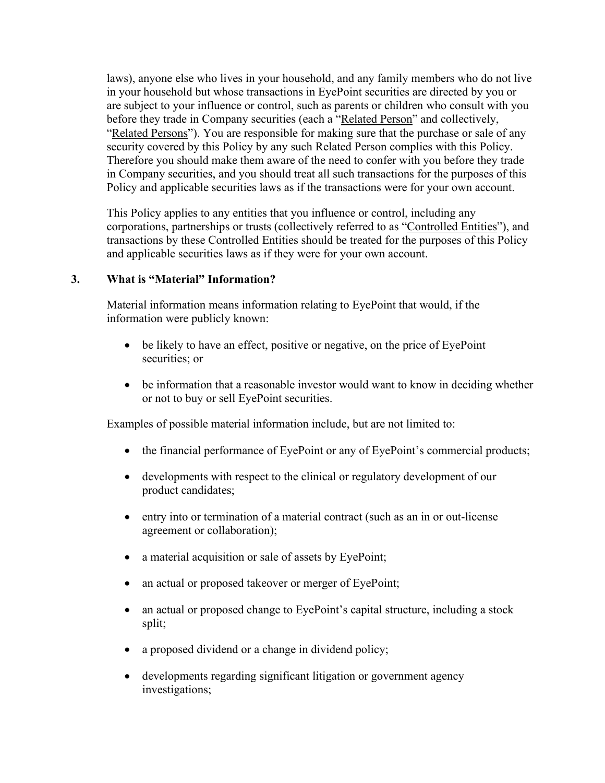laws), anyone else who lives in your household, and any family members who do not live in your household but whose transactions in EyePoint securities are directed by you or are subject to your influence or control, such as parents or children who consult with you before they trade in Company securities (each a "Related Person" and collectively, "Related Persons"). You are responsible for making sure that the purchase or sale of any security covered by this Policy by any such Related Person complies with this Policy. Therefore you should make them aware of the need to confer with you before they trade in Company securities, and you should treat all such transactions for the purposes of this Policy and applicable securities laws as if the transactions were for your own account.

This Policy applies to any entities that you influence or control, including any corporations, partnerships or trusts (collectively referred to as "Controlled Entities"), and transactions by these Controlled Entities should be treated for the purposes of this Policy and applicable securities laws as if they were for your own account.

### **3. What is "Material" Information?**

Material information means information relating to EyePoint that would, if the information were publicly known:

- be likely to have an effect, positive or negative, on the price of EyePoint securities; or
- be information that a reasonable investor would want to know in deciding whether or not to buy or sell EyePoint securities.

Examples of possible material information include, but are not limited to:

- the financial performance of EyePoint or any of EyePoint's commercial products;
- developments with respect to the clinical or regulatory development of our product candidates;
- entry into or termination of a material contract (such as an in or out-license agreement or collaboration);
- a material acquisition or sale of assets by EyePoint;
- an actual or proposed takeover or merger of EyePoint;
- an actual or proposed change to EyePoint's capital structure, including a stock split;
- a proposed dividend or a change in dividend policy;
- developments regarding significant litigation or government agency investigations;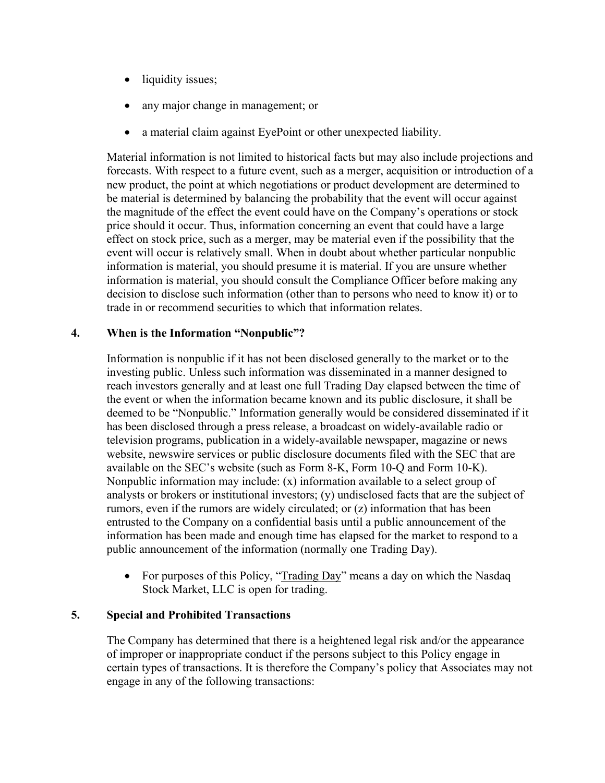- liquidity issues;
- any major change in management; or
- a material claim against EyePoint or other unexpected liability.

Material information is not limited to historical facts but may also include projections and forecasts. With respect to a future event, such as a merger, acquisition or introduction of a new product, the point at which negotiations or product development are determined to be material is determined by balancing the probability that the event will occur against the magnitude of the effect the event could have on the Company's operations or stock price should it occur. Thus, information concerning an event that could have a large effect on stock price, such as a merger, may be material even if the possibility that the event will occur is relatively small. When in doubt about whether particular nonpublic information is material, you should presume it is material. If you are unsure whether information is material, you should consult the Compliance Officer before making any decision to disclose such information (other than to persons who need to know it) or to trade in or recommend securities to which that information relates.

### **4. When is the Information "Nonpublic"?**

Information is nonpublic if it has not been disclosed generally to the market or to the investing public. Unless such information was disseminated in a manner designed to reach investors generally and at least one full Trading Day elapsed between the time of the event or when the information became known and its public disclosure, it shall be deemed to be "Nonpublic." Information generally would be considered disseminated if it has been disclosed through a press release, a broadcast on widely-available radio or television programs, publication in a widely-available newspaper, magazine or news website, newswire services or public disclosure documents filed with the SEC that are available on the SEC's website (such as Form 8-K, Form 10-Q and Form 10-K). Nonpublic information may include: (x) information available to a select group of analysts or brokers or institutional investors; (y) undisclosed facts that are the subject of rumors, even if the rumors are widely circulated; or (z) information that has been entrusted to the Company on a confidential basis until a public announcement of the information has been made and enough time has elapsed for the market to respond to a public announcement of the information (normally one Trading Day).

• For purposes of this Policy, "Trading Day" means a day on which the Nasdaq Stock Market, LLC is open for trading.

#### **5. Special and Prohibited Transactions**

The Company has determined that there is a heightened legal risk and/or the appearance of improper or inappropriate conduct if the persons subject to this Policy engage in certain types of transactions. It is therefore the Company's policy that Associates may not engage in any of the following transactions: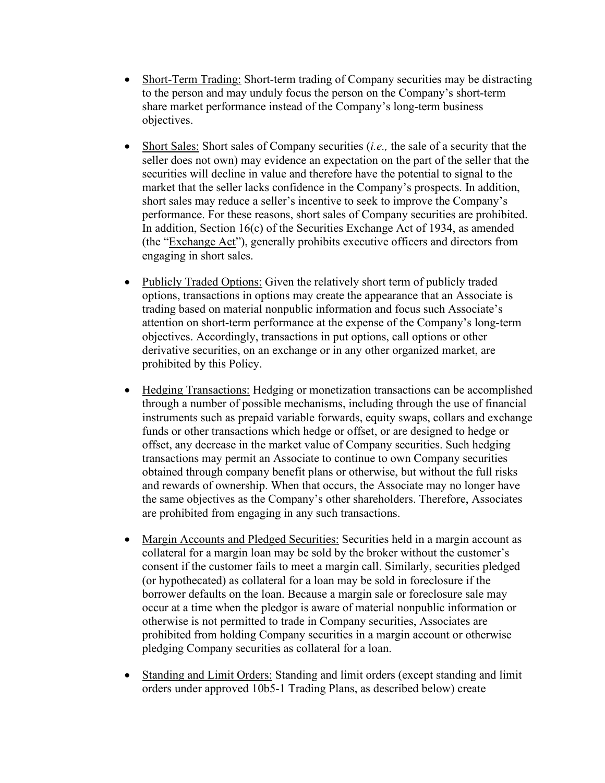- Short-Term Trading: Short-term trading of Company securities may be distracting to the person and may unduly focus the person on the Company's short-term share market performance instead of the Company's long-term business objectives.
- Short Sales: Short sales of Company securities (*i.e.,* the sale of a security that the seller does not own) may evidence an expectation on the part of the seller that the securities will decline in value and therefore have the potential to signal to the market that the seller lacks confidence in the Company's prospects. In addition, short sales may reduce a seller's incentive to seek to improve the Company's performance. For these reasons, short sales of Company securities are prohibited. In addition, Section 16(c) of the Securities Exchange Act of 1934, as amended (the "Exchange Act"), generally prohibits executive officers and directors from engaging in short sales.
- Publicly Traded Options: Given the relatively short term of publicly traded options, transactions in options may create the appearance that an Associate is trading based on material nonpublic information and focus such Associate's attention on short-term performance at the expense of the Company's long-term objectives. Accordingly, transactions in put options, call options or other derivative securities, on an exchange or in any other organized market, are prohibited by this Policy.
- Hedging Transactions: Hedging or monetization transactions can be accomplished through a number of possible mechanisms, including through the use of financial instruments such as prepaid variable forwards, equity swaps, collars and exchange funds or other transactions which hedge or offset, or are designed to hedge or offset, any decrease in the market value of Company securities. Such hedging transactions may permit an Associate to continue to own Company securities obtained through company benefit plans or otherwise, but without the full risks and rewards of ownership. When that occurs, the Associate may no longer have the same objectives as the Company's other shareholders. Therefore, Associates are prohibited from engaging in any such transactions.
- Margin Accounts and Pledged Securities: Securities held in a margin account as collateral for a margin loan may be sold by the broker without the customer's consent if the customer fails to meet a margin call. Similarly, securities pledged (or hypothecated) as collateral for a loan may be sold in foreclosure if the borrower defaults on the loan. Because a margin sale or foreclosure sale may occur at a time when the pledgor is aware of material nonpublic information or otherwise is not permitted to trade in Company securities, Associates are prohibited from holding Company securities in a margin account or otherwise pledging Company securities as collateral for a loan.
- Standing and Limit Orders: Standing and limit orders (except standing and limit orders under approved 10b5-1 Trading Plans, as described below) create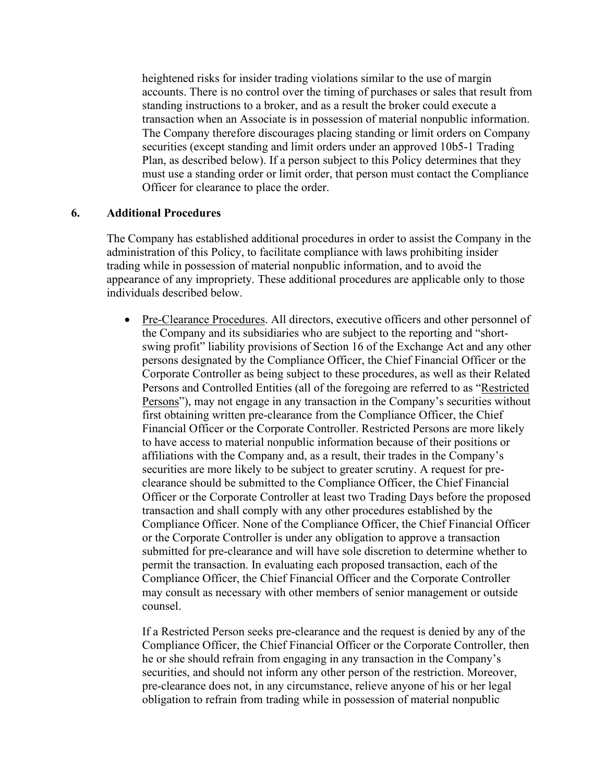heightened risks for insider trading violations similar to the use of margin accounts. There is no control over the timing of purchases or sales that result from standing instructions to a broker, and as a result the broker could execute a transaction when an Associate is in possession of material nonpublic information. The Company therefore discourages placing standing or limit orders on Company securities (except standing and limit orders under an approved 10b5-1 Trading Plan, as described below). If a person subject to this Policy determines that they must use a standing order or limit order, that person must contact the Compliance Officer for clearance to place the order.

#### **6. Additional Procedures**

The Company has established additional procedures in order to assist the Company in the administration of this Policy, to facilitate compliance with laws prohibiting insider trading while in possession of material nonpublic information, and to avoid the appearance of any impropriety. These additional procedures are applicable only to those individuals described below.

• Pre-Clearance Procedures. All directors, executive officers and other personnel of the Company and its subsidiaries who are subject to the reporting and "shortswing profit" liability provisions of Section 16 of the Exchange Act and any other persons designated by the Compliance Officer, the Chief Financial Officer or the Corporate Controller as being subject to these procedures, as well as their Related Persons and Controlled Entities (all of the foregoing are referred to as "Restricted Persons"), may not engage in any transaction in the Company's securities without first obtaining written pre-clearance from the Compliance Officer, the Chief Financial Officer or the Corporate Controller. Restricted Persons are more likely to have access to material nonpublic information because of their positions or affiliations with the Company and, as a result, their trades in the Company's securities are more likely to be subject to greater scrutiny. A request for preclearance should be submitted to the Compliance Officer, the Chief Financial Officer or the Corporate Controller at least two Trading Days before the proposed transaction and shall comply with any other procedures established by the Compliance Officer. None of the Compliance Officer, the Chief Financial Officer or the Corporate Controller is under any obligation to approve a transaction submitted for pre-clearance and will have sole discretion to determine whether to permit the transaction. In evaluating each proposed transaction, each of the Compliance Officer, the Chief Financial Officer and the Corporate Controller may consult as necessary with other members of senior management or outside counsel.

If a Restricted Person seeks pre-clearance and the request is denied by any of the Compliance Officer, the Chief Financial Officer or the Corporate Controller, then he or she should refrain from engaging in any transaction in the Company's securities, and should not inform any other person of the restriction. Moreover, pre-clearance does not, in any circumstance, relieve anyone of his or her legal obligation to refrain from trading while in possession of material nonpublic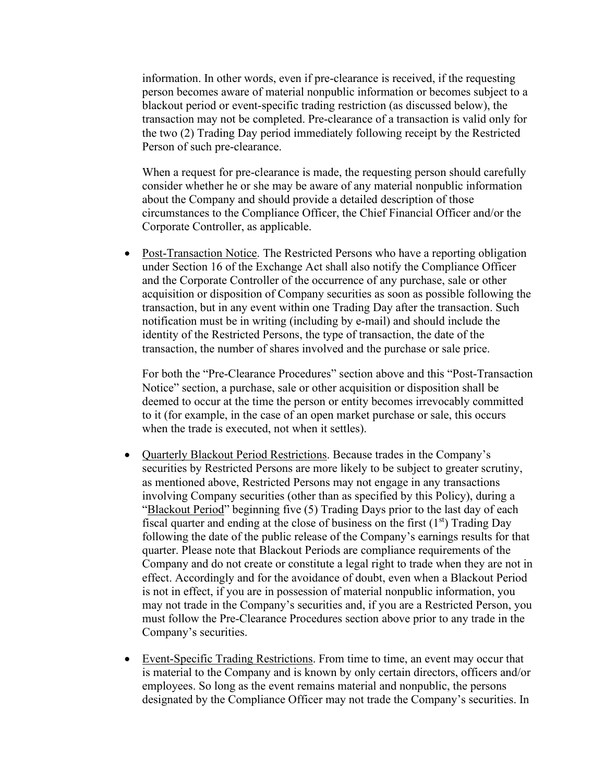information. In other words, even if pre-clearance is received, if the requesting person becomes aware of material nonpublic information or becomes subject to a blackout period or event-specific trading restriction (as discussed below), the transaction may not be completed. Pre-clearance of a transaction is valid only for the two (2) Trading Day period immediately following receipt by the Restricted Person of such pre-clearance.

When a request for pre-clearance is made, the requesting person should carefully consider whether he or she may be aware of any material nonpublic information about the Company and should provide a detailed description of those circumstances to the Compliance Officer, the Chief Financial Officer and/or the Corporate Controller, as applicable.

• Post-Transaction Notice. The Restricted Persons who have a reporting obligation under Section 16 of the Exchange Act shall also notify the Compliance Officer and the Corporate Controller of the occurrence of any purchase, sale or other acquisition or disposition of Company securities as soon as possible following the transaction, but in any event within one Trading Day after the transaction. Such notification must be in writing (including by e-mail) and should include the identity of the Restricted Persons, the type of transaction, the date of the transaction, the number of shares involved and the purchase or sale price.

For both the "Pre-Clearance Procedures" section above and this "Post-Transaction Notice" section, a purchase, sale or other acquisition or disposition shall be deemed to occur at the time the person or entity becomes irrevocably committed to it (for example, in the case of an open market purchase or sale, this occurs when the trade is executed, not when it settles).

- Quarterly Blackout Period Restrictions. Because trades in the Company's securities by Restricted Persons are more likely to be subject to greater scrutiny, as mentioned above, Restricted Persons may not engage in any transactions involving Company securities (other than as specified by this Policy), during a "Blackout Period" beginning five (5) Trading Days prior to the last day of each fiscal quarter and ending at the close of business on the first  $(1<sup>st</sup>)$  Trading Day following the date of the public release of the Company's earnings results for that quarter. Please note that Blackout Periods are compliance requirements of the Company and do not create or constitute a legal right to trade when they are not in effect. Accordingly and for the avoidance of doubt, even when a Blackout Period is not in effect, if you are in possession of material nonpublic information, you may not trade in the Company's securities and, if you are a Restricted Person, you must follow the Pre-Clearance Procedures section above prior to any trade in the Company's securities.
- Event-Specific Trading Restrictions. From time to time, an event may occur that is material to the Company and is known by only certain directors, officers and/or employees. So long as the event remains material and nonpublic, the persons designated by the Compliance Officer may not trade the Company's securities. In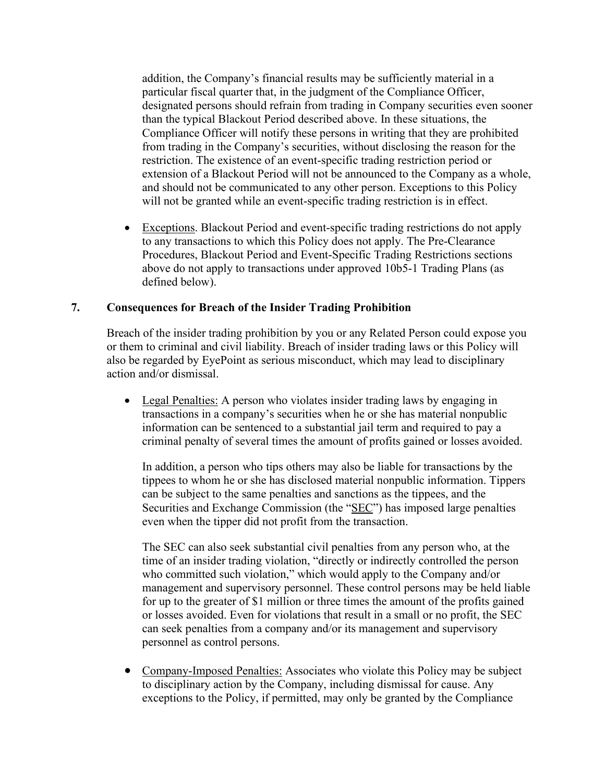addition, the Company's financial results may be sufficiently material in a particular fiscal quarter that, in the judgment of the Compliance Officer, designated persons should refrain from trading in Company securities even sooner than the typical Blackout Period described above. In these situations, the Compliance Officer will notify these persons in writing that they are prohibited from trading in the Company's securities, without disclosing the reason for the restriction. The existence of an event-specific trading restriction period or extension of a Blackout Period will not be announced to the Company as a whole, and should not be communicated to any other person. Exceptions to this Policy will not be granted while an event-specific trading restriction is in effect.

• Exceptions. Blackout Period and event-specific trading restrictions do not apply to any transactions to which this Policy does not apply. The Pre-Clearance Procedures, Blackout Period and Event-Specific Trading Restrictions sections above do not apply to transactions under approved 10b5-1 Trading Plans (as defined below).

### **7. Consequences for Breach of the Insider Trading Prohibition**

Breach of the insider trading prohibition by you or any Related Person could expose you or them to criminal and civil liability. Breach of insider trading laws or this Policy will also be regarded by EyePoint as serious misconduct, which may lead to disciplinary action and/or dismissal.

• Legal Penalties: A person who violates insider trading laws by engaging in transactions in a company's securities when he or she has material nonpublic information can be sentenced to a substantial jail term and required to pay a criminal penalty of several times the amount of profits gained or losses avoided.

In addition, a person who tips others may also be liable for transactions by the tippees to whom he or she has disclosed material nonpublic information. Tippers can be subject to the same penalties and sanctions as the tippees, and the Securities and Exchange Commission (the "SEC") has imposed large penalties even when the tipper did not profit from the transaction.

The SEC can also seek substantial civil penalties from any person who, at the time of an insider trading violation, "directly or indirectly controlled the person who committed such violation," which would apply to the Company and/or management and supervisory personnel. These control persons may be held liable for up to the greater of \$1 million or three times the amount of the profits gained or losses avoided. Even for violations that result in a small or no profit, the SEC can seek penalties from a company and/or its management and supervisory personnel as control persons.

• Company-Imposed Penalties: Associates who violate this Policy may be subject to disciplinary action by the Company, including dismissal for cause. Any exceptions to the Policy, if permitted, may only be granted by the Compliance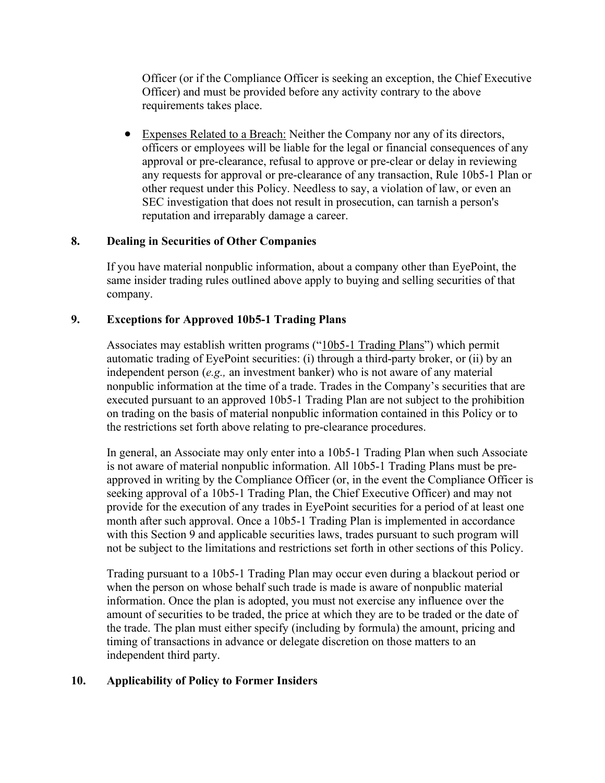Officer (or if the Compliance Officer is seeking an exception, the Chief Executive Officer) and must be provided before any activity contrary to the above requirements takes place.

• Expenses Related to a Breach: Neither the Company nor any of its directors, officers or employees will be liable for the legal or financial consequences of any approval or pre-clearance, refusal to approve or pre-clear or delay in reviewing any requests for approval or pre-clearance of any transaction, Rule 10b5-1 Plan or other request under this Policy. Needless to say, a violation of law, or even an SEC investigation that does not result in prosecution, can tarnish a person's reputation and irreparably damage a career.

# **8. Dealing in Securities of Other Companies**

If you have material nonpublic information, about a company other than EyePoint, the same insider trading rules outlined above apply to buying and selling securities of that company.

# **9. Exceptions for Approved 10b5-1 Trading Plans**

Associates may establish written programs ("10b5-1 Trading Plans") which permit automatic trading of EyePoint securities: (i) through a third-party broker, or (ii) by an independent person (*e.g.,* an investment banker) who is not aware of any material nonpublic information at the time of a trade. Trades in the Company's securities that are executed pursuant to an approved 10b5-1 Trading Plan are not subject to the prohibition on trading on the basis of material nonpublic information contained in this Policy or to the restrictions set forth above relating to pre-clearance procedures.

In general, an Associate may only enter into a 10b5-1 Trading Plan when such Associate is not aware of material nonpublic information. All 10b5-1 Trading Plans must be preapproved in writing by the Compliance Officer (or, in the event the Compliance Officer is seeking approval of a 10b5-1 Trading Plan, the Chief Executive Officer) and may not provide for the execution of any trades in EyePoint securities for a period of at least one month after such approval. Once a 10b5-1 Trading Plan is implemented in accordance with this Section 9 and applicable securities laws, trades pursuant to such program will not be subject to the limitations and restrictions set forth in other sections of this Policy.

Trading pursuant to a 10b5-1 Trading Plan may occur even during a blackout period or when the person on whose behalf such trade is made is aware of nonpublic material information. Once the plan is adopted, you must not exercise any influence over the amount of securities to be traded, the price at which they are to be traded or the date of the trade. The plan must either specify (including by formula) the amount, pricing and timing of transactions in advance or delegate discretion on those matters to an independent third party.

# **10. Applicability of Policy to Former Insiders**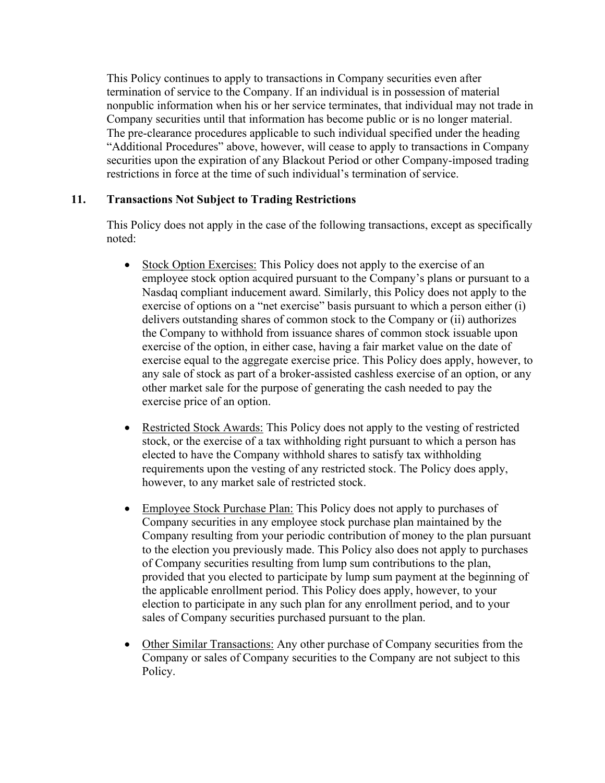This Policy continues to apply to transactions in Company securities even after termination of service to the Company. If an individual is in possession of material nonpublic information when his or her service terminates, that individual may not trade in Company securities until that information has become public or is no longer material. The pre-clearance procedures applicable to such individual specified under the heading "Additional Procedures" above, however, will cease to apply to transactions in Company securities upon the expiration of any Blackout Period or other Company-imposed trading restrictions in force at the time of such individual's termination of service.

## **11. Transactions Not Subject to Trading Restrictions**

This Policy does not apply in the case of the following transactions, except as specifically noted:

- Stock Option Exercises: This Policy does not apply to the exercise of an employee stock option acquired pursuant to the Company's plans or pursuant to a Nasdaq compliant inducement award. Similarly, this Policy does not apply to the exercise of options on a "net exercise" basis pursuant to which a person either (i) delivers outstanding shares of common stock to the Company or (ii) authorizes the Company to withhold from issuance shares of common stock issuable upon exercise of the option, in either case, having a fair market value on the date of exercise equal to the aggregate exercise price. This Policy does apply, however, to any sale of stock as part of a broker-assisted cashless exercise of an option, or any other market sale for the purpose of generating the cash needed to pay the exercise price of an option.
- Restricted Stock Awards: This Policy does not apply to the vesting of restricted stock, or the exercise of a tax withholding right pursuant to which a person has elected to have the Company withhold shares to satisfy tax withholding requirements upon the vesting of any restricted stock. The Policy does apply, however, to any market sale of restricted stock.
- Employee Stock Purchase Plan: This Policy does not apply to purchases of Company securities in any employee stock purchase plan maintained by the Company resulting from your periodic contribution of money to the plan pursuant to the election you previously made. This Policy also does not apply to purchases of Company securities resulting from lump sum contributions to the plan, provided that you elected to participate by lump sum payment at the beginning of the applicable enrollment period. This Policy does apply, however, to your election to participate in any such plan for any enrollment period, and to your sales of Company securities purchased pursuant to the plan.
- Other Similar Transactions: Any other purchase of Company securities from the Company or sales of Company securities to the Company are not subject to this Policy.